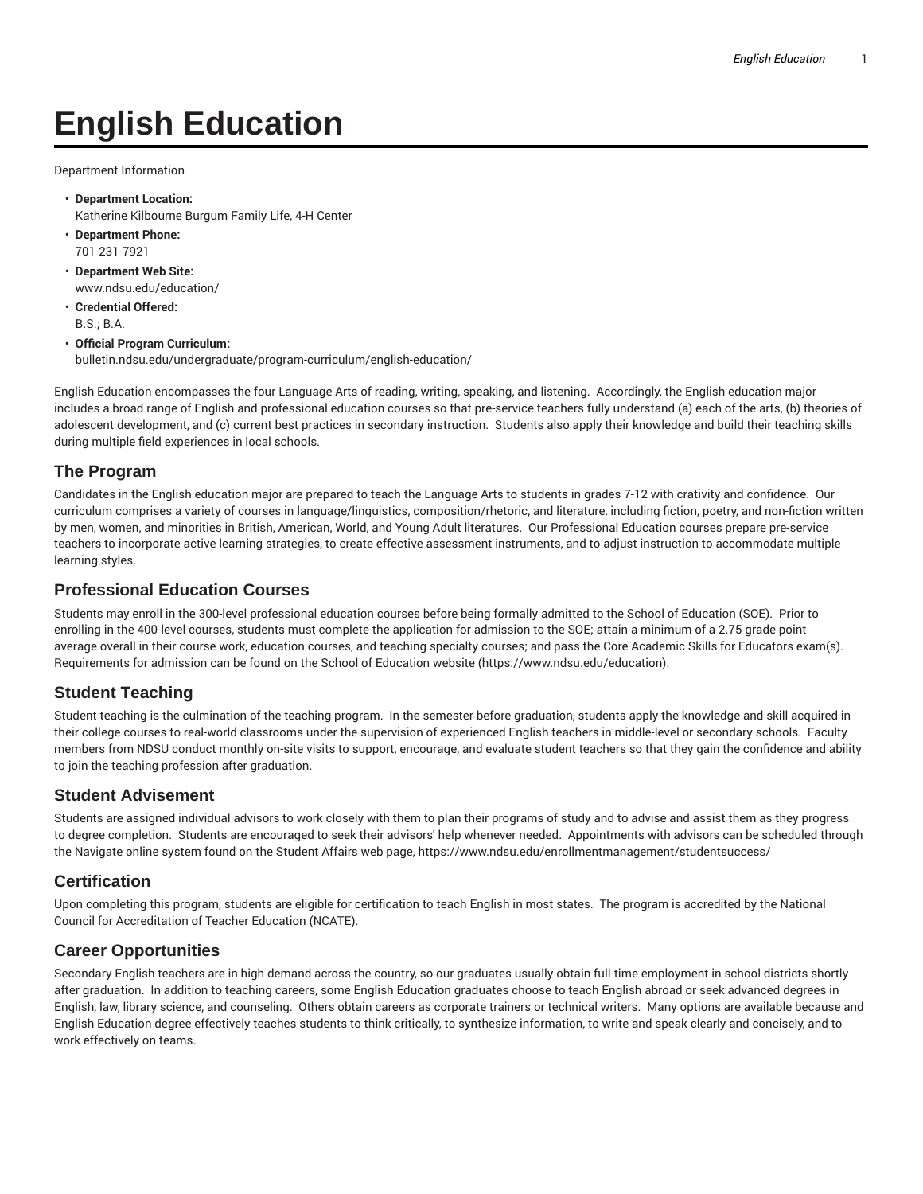# **English Education**

Department Information

- **Department Location:** Katherine Kilbourne Burgum Family Life, 4-H Center
- **Department Phone:** 701-231-7921
- **Department Web Site:** www.ndsu.edu/education/
- **Credential Offered:** B.S.; B.A.
- **Official Program Curriculum:** bulletin.ndsu.edu/undergraduate/program-curriculum/english-education/

English Education encompasses the four Language Arts of reading, writing, speaking, and listening. Accordingly, the English education major includes a broad range of English and professional education courses so that pre-service teachers fully understand (a) each of the arts, (b) theories of adolescent development, and (c) current best practices in secondary instruction. Students also apply their knowledge and build their teaching skills during multiple field experiences in local schools.

## **The Program**

Candidates in the English education major are prepared to teach the Language Arts to students in grades 7-12 with crativity and confidence. Our curriculum comprises a variety of courses in language/linguistics, composition/rhetoric, and literature, including fiction, poetry, and non-fiction written by men, women, and minorities in British, American, World, and Young Adult literatures. Our Professional Education courses prepare pre-service teachers to incorporate active learning strategies, to create effective assessment instruments, and to adjust instruction to accommodate multiple learning styles.

#### **Professional Education Courses**

Students may enroll in the 300-level professional education courses before being formally admitted to the School of Education (SOE). Prior to enrolling in the 400-level courses, students must complete the application for admission to the SOE; attain a minimum of a 2.75 grade point average overall in their course work, education courses, and teaching specialty courses; and pass the Core Academic Skills for Educators exam(s). Requirements for admission can be found on the School of Education website (https://www.ndsu.edu/education).

## **Student Teaching**

Student teaching is the culmination of the teaching program. In the semester before graduation, students apply the knowledge and skill acquired in their college courses to real-world classrooms under the supervision of experienced English teachers in middle-level or secondary schools. Faculty members from NDSU conduct monthly on-site visits to support, encourage, and evaluate student teachers so that they gain the confidence and ability to join the teaching profession after graduation.

#### **Student Advisement**

Students are assigned individual advisors to work closely with them to plan their programs of study and to advise and assist them as they progress to degree completion. Students are encouraged to seek their advisors' help whenever needed. Appointments with advisors can be scheduled through the Navigate online system found on the Student Affairs web page, https://www.ndsu.edu/enrollmentmanagement/studentsuccess/

#### **Certification**

Upon completing this program, students are eligible for certification to teach English in most states. The program is accredited by the National Council for Accreditation of Teacher Education (NCATE).

#### **Career Opportunities**

Secondary English teachers are in high demand across the country, so our graduates usually obtain full-time employment in school districts shortly after graduation. In addition to teaching careers, some English Education graduates choose to teach English abroad or seek advanced degrees in English, law, library science, and counseling. Others obtain careers as corporate trainers or technical writers. Many options are available because and English Education degree effectively teaches students to think critically, to synthesize information, to write and speak clearly and concisely, and to work effectively on teams.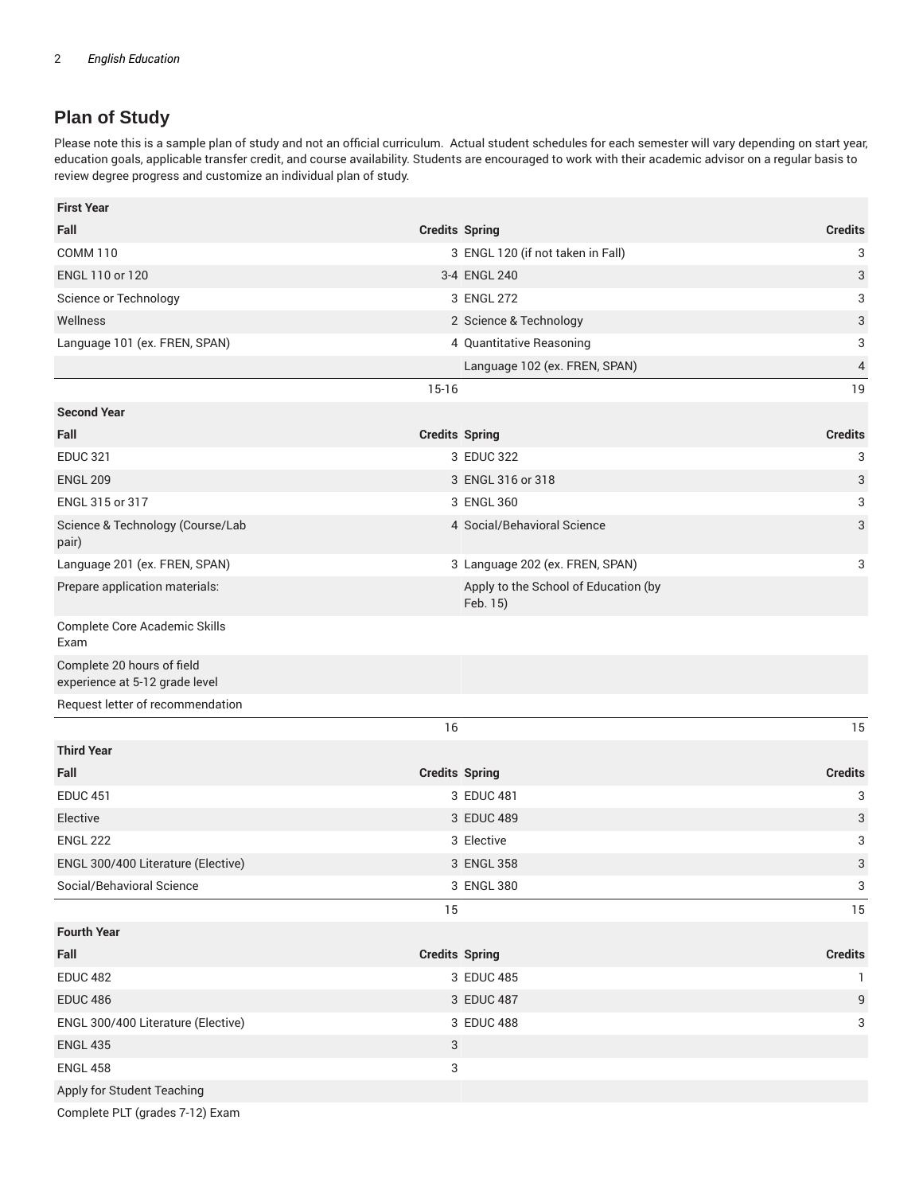# **Plan of Study**

Please note this is a sample plan of study and not an official curriculum. Actual student schedules for each semester will vary depending on start year, education goals, applicable transfer credit, and course availability. Students are encouraged to work with their academic advisor on a regular basis to review degree progress and customize an individual plan of study.

| <b>First Year</b>                                            |                       |                                                  |                |
|--------------------------------------------------------------|-----------------------|--------------------------------------------------|----------------|
| Fall                                                         | <b>Credits Spring</b> |                                                  | <b>Credits</b> |
| <b>COMM 110</b>                                              |                       | 3 ENGL 120 (if not taken in Fall)                | 3              |
| ENGL 110 or 120                                              |                       | 3-4 ENGL 240                                     | 3              |
| Science or Technology                                        |                       | 3 ENGL 272                                       | 3              |
| Wellness                                                     |                       | 2 Science & Technology                           | 3              |
| Language 101 (ex. FREN, SPAN)                                |                       | 4 Quantitative Reasoning                         | 3              |
|                                                              |                       | Language 102 (ex. FREN, SPAN)                    | $\overline{4}$ |
|                                                              | $15-16$               |                                                  | 19             |
| <b>Second Year</b>                                           |                       |                                                  |                |
| Fall                                                         | <b>Credits Spring</b> |                                                  | <b>Credits</b> |
| <b>EDUC 321</b>                                              |                       | 3 EDUC 322                                       | 3              |
| <b>ENGL 209</b>                                              |                       | 3 ENGL 316 or 318                                | 3              |
| ENGL 315 or 317                                              |                       | 3 ENGL 360                                       | 3              |
| Science & Technology (Course/Lab<br>pair)                    |                       | 4 Social/Behavioral Science                      | 3              |
| Language 201 (ex. FREN, SPAN)                                |                       | 3 Language 202 (ex. FREN, SPAN)                  | 3              |
| Prepare application materials:                               |                       | Apply to the School of Education (by<br>Feb. 15) |                |
| Complete Core Academic Skills<br>Exam                        |                       |                                                  |                |
| Complete 20 hours of field<br>experience at 5-12 grade level |                       |                                                  |                |
| Request letter of recommendation                             |                       |                                                  |                |
|                                                              | 16                    |                                                  | 15             |
| <b>Third Year</b>                                            |                       |                                                  |                |
| Fall                                                         | <b>Credits Spring</b> |                                                  | <b>Credits</b> |
| <b>EDUC 451</b>                                              |                       | 3 EDUC 481                                       | 3              |
| Elective                                                     |                       | 3 EDUC 489                                       | 3              |
| <b>ENGL 222</b>                                              |                       | 3 Elective                                       | 3              |
| ENGL 300/400 Literature (Elective)                           |                       | 3 ENGL 358                                       | 3              |
| Social/Behavioral Science                                    |                       | 3 ENGL 380                                       | 3              |
|                                                              | 15                    |                                                  | 15             |
| <b>Fourth Year</b>                                           |                       |                                                  |                |
| Fall                                                         | <b>Credits Spring</b> |                                                  | <b>Credits</b> |
| <b>EDUC 482</b>                                              |                       | 3 EDUC 485                                       | 1.             |
| <b>EDUC 486</b>                                              |                       | 3 EDUC 487                                       | 9              |
| ENGL 300/400 Literature (Elective)                           |                       | 3 EDUC 488                                       | 3              |
| <b>ENGL 435</b>                                              | 3                     |                                                  |                |
| <b>ENGL 458</b>                                              | 3                     |                                                  |                |
| Apply for Student Teaching                                   |                       |                                                  |                |

Complete PLT (grades 7-12) Exam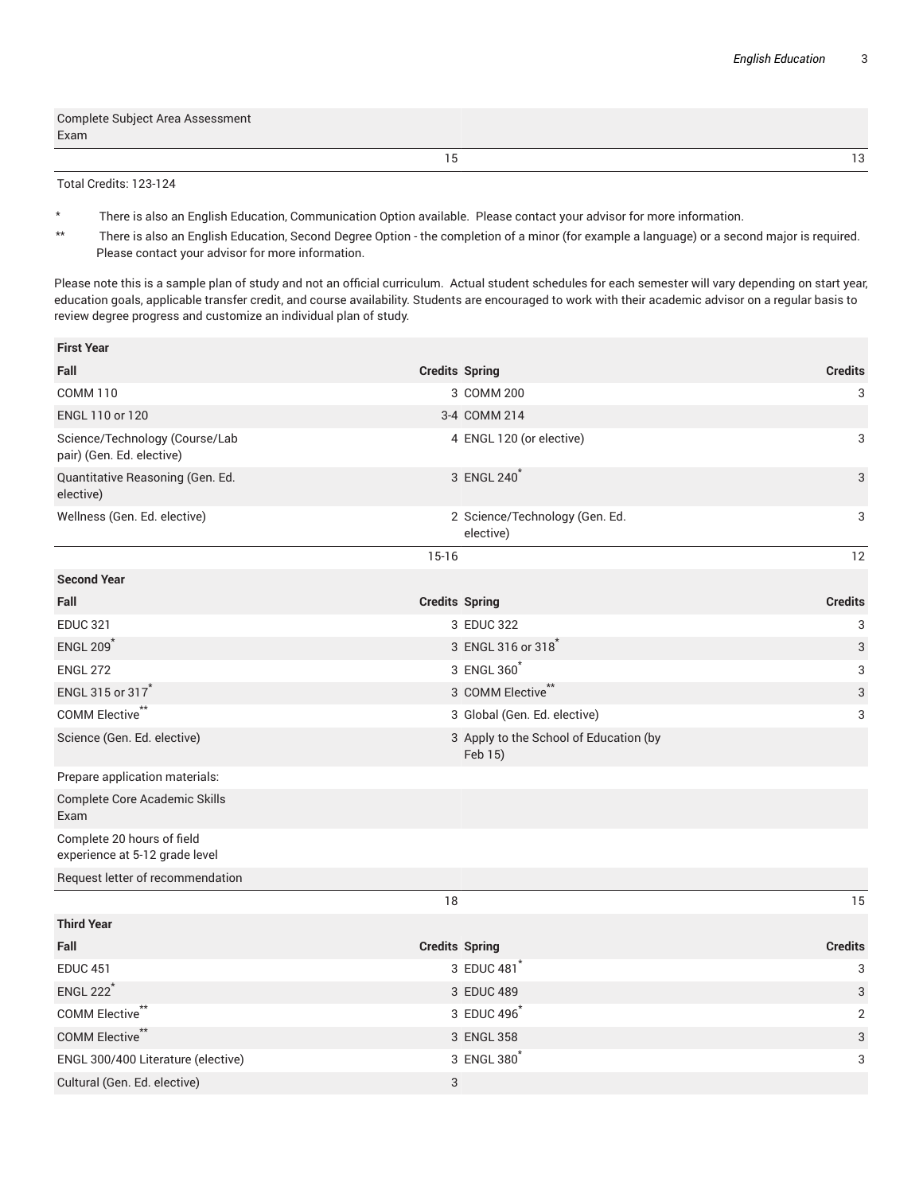| Complete Subject Area Assessment<br>Exam |     |
|------------------------------------------|-----|
|                                          | ה ד |

Total Credits: 123-124

- \* There is also an English Education, Communication Option available. Please contact your advisor for more information.
- \*\* There is also an English Education, Second Degree Option the completion of a minor (for example a language) or a second major is required. Please contact your advisor for more information.

Please note this is a sample plan of study and not an official curriculum. Actual student schedules for each semester will vary depending on start year, education goals, applicable transfer credit, and course availability. Students are encouraged to work with their academic advisor on a regular basis to review degree progress and customize an individual plan of study.

| <b>First Year</b>                                            |                       |                                                   |                |
|--------------------------------------------------------------|-----------------------|---------------------------------------------------|----------------|
| Fall                                                         | <b>Credits Spring</b> |                                                   | <b>Credits</b> |
| <b>COMM 110</b>                                              |                       | 3 COMM 200                                        | 3              |
| ENGL 110 or 120                                              |                       | 3-4 COMM 214                                      |                |
| Science/Technology (Course/Lab<br>pair) (Gen. Ed. elective)  |                       | 4 ENGL 120 (or elective)                          | 3              |
| Quantitative Reasoning (Gen. Ed.<br>elective)                |                       | 3 ENGL 240                                        | 3              |
| Wellness (Gen. Ed. elective)                                 |                       | 2 Science/Technology (Gen. Ed.<br>elective)       | 3              |
|                                                              | $15-16$               |                                                   | 12             |
| <b>Second Year</b>                                           |                       |                                                   |                |
| Fall                                                         | <b>Credits Spring</b> |                                                   | <b>Credits</b> |
| <b>EDUC 321</b>                                              |                       | 3 EDUC 322                                        | 3              |
| <b>ENGL 209</b>                                              |                       | 3 ENGL 316 or 318                                 | 3              |
| <b>ENGL 272</b>                                              |                       | 3 ENGL 360                                        | 3              |
| ENGL 315 or 317                                              |                       | 3 COMM Elective**                                 | 3              |
| COMM Elective <sup>**</sup>                                  |                       | 3 Global (Gen. Ed. elective)                      | 3              |
| Science (Gen. Ed. elective)                                  |                       | 3 Apply to the School of Education (by<br>Feb 15) |                |
| Prepare application materials:                               |                       |                                                   |                |
| <b>Complete Core Academic Skills</b><br>Exam                 |                       |                                                   |                |
| Complete 20 hours of field<br>experience at 5-12 grade level |                       |                                                   |                |
| Request letter of recommendation                             |                       |                                                   |                |
|                                                              | 18                    |                                                   | 15             |
| <b>Third Year</b>                                            |                       |                                                   |                |
| Fall                                                         | <b>Credits Spring</b> |                                                   | <b>Credits</b> |
| <b>EDUC 451</b>                                              |                       | 3 EDUC 481                                        | 3              |
| <b>ENGL 222<sup>*</sup></b>                                  |                       | 3 EDUC 489                                        | 3              |
| COMM Elective <sup>**</sup>                                  |                       | 3 EDUC 496                                        | $\overline{2}$ |
| COMM Elective**                                              |                       | 3 ENGL 358                                        | 3              |
| ENGL 300/400 Literature (elective)                           |                       | 3 ENGL 380                                        | 3              |
| Cultural (Gen. Ed. elective)                                 | 3                     |                                                   |                |